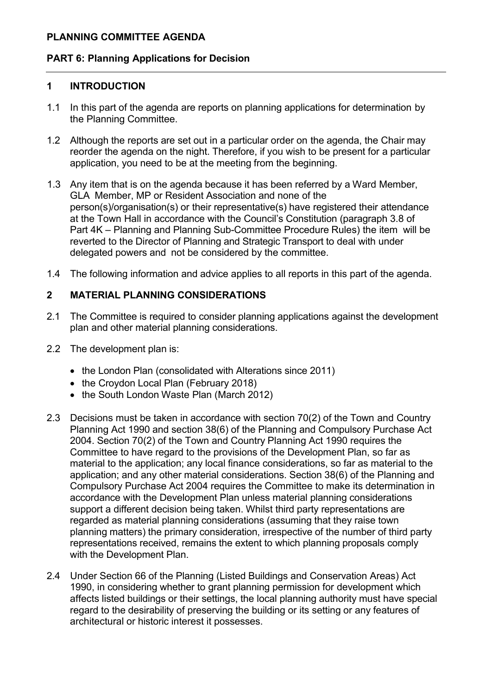#### **PLANNING COMMITTEE AGENDA**

#### **PART 6: Planning Applications for Decision**

#### **1 INTRODUCTION**

- 1.1 In this part of the agenda are reports on planning applications for determination by the Planning Committee.
- 1.2 Although the reports are set out in a particular order on the agenda, the Chair may reorder the agenda on the night. Therefore, if you wish to be present for a particular application, you need to be at the meeting from the beginning.
- 1.3 Any item that is on the agenda because it has been referred by a Ward Member, GLA Member, MP or Resident Association and none of the person(s)/organisation(s) or their representative(s) have registered their attendance at the Town Hall in accordance with the Council's Constitution (paragraph 3.8 of Part 4K – Planning and Planning Sub-Committee Procedure Rules) the item will be reverted to the Director of Planning and Strategic Transport to deal with under delegated powers and not be considered by the committee.
- 1.4 The following information and advice applies to all reports in this part of the agenda.

#### **2 MATERIAL PLANNING CONSIDERATIONS**

- 2.1 The Committee is required to consider planning applications against the development plan and other material planning considerations.
- 2.2 The development plan is:
	- the London Plan (consolidated with Alterations since 2011)
	- the Croydon Local Plan (February 2018)
	- the South London Waste Plan (March 2012)
- 2.3 Decisions must be taken in accordance with section 70(2) of the Town and Country Planning Act 1990 and section 38(6) of the Planning and Compulsory Purchase Act 2004. Section 70(2) of the Town and Country Planning Act 1990 requires the Committee to have regard to the provisions of the Development Plan, so far as material to the application; any local finance considerations, so far as material to the application; and any other material considerations. Section 38(6) of the Planning and Compulsory Purchase Act 2004 requires the Committee to make its determination in accordance with the Development Plan unless material planning considerations support a different decision being taken. Whilst third party representations are regarded as material planning considerations (assuming that they raise town planning matters) the primary consideration, irrespective of the number of third party representations received, remains the extent to which planning proposals comply with the Development Plan.
- 2.4 Under Section 66 of the Planning (Listed Buildings and Conservation Areas) Act 1990, in considering whether to grant planning permission for development which affects listed buildings or their settings, the local planning authority must have special regard to the desirability of preserving the building or its setting or any features of architectural or historic interest it possesses.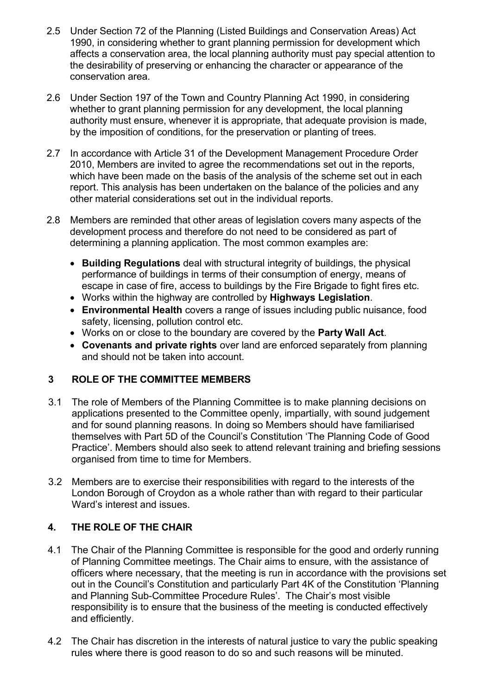- 2.5 Under Section 72 of the Planning (Listed Buildings and Conservation Areas) Act 1990, in considering whether to grant planning permission for development which affects a conservation area, the local planning authority must pay special attention to the desirability of preserving or enhancing the character or appearance of the conservation area.
- 2.6 Under Section 197 of the Town and Country Planning Act 1990, in considering whether to grant planning permission for any development, the local planning authority must ensure, whenever it is appropriate, that adequate provision is made, by the imposition of conditions, for the preservation or planting of trees.
- 2.7 In accordance with Article 31 of the Development Management Procedure Order 2010, Members are invited to agree the recommendations set out in the reports, which have been made on the basis of the analysis of the scheme set out in each report. This analysis has been undertaken on the balance of the policies and any other material considerations set out in the individual reports.
- 2.8 Members are reminded that other areas of legislation covers many aspects of the development process and therefore do not need to be considered as part of determining a planning application. The most common examples are:
	- **Building Regulations** deal with structural integrity of buildings, the physical performance of buildings in terms of their consumption of energy, means of escape in case of fire, access to buildings by the Fire Brigade to fight fires etc.
	- Works within the highway are controlled by **Highways Legislation**.
	- **Environmental Health** covers a range of issues including public nuisance, food safety, licensing, pollution control etc.
	- Works on or close to the boundary are covered by the **Party Wall Act**.
	- **Covenants and private rights** over land are enforced separately from planning and should not be taken into account.

# **3 ROLE OF THE COMMITTEE MEMBERS**

- 3.1 The role of Members of the Planning Committee is to make planning decisions on applications presented to the Committee openly, impartially, with sound judgement and for sound planning reasons. In doing so Members should have familiarised themselves with Part 5D of the Council's Constitution 'The Planning Code of Good Practice'. Members should also seek to attend relevant training and briefing sessions organised from time to time for Members.
- 3.2 Members are to exercise their responsibilities with regard to the interests of the London Borough of Croydon as a whole rather than with regard to their particular Ward's interest and issues.

# **4. THE ROLE OF THE CHAIR**

- 4.1 The Chair of the Planning Committee is responsible for the good and orderly running of Planning Committee meetings. The Chair aims to ensure, with the assistance of officers where necessary, that the meeting is run in accordance with the provisions set out in the Council's Constitution and particularly Part 4K of the Constitution 'Planning and Planning Sub-Committee Procedure Rules'. The Chair's most visible responsibility is to ensure that the business of the meeting is conducted effectively and efficiently.
- 4.2 The Chair has discretion in the interests of natural justice to vary the public speaking rules where there is good reason to do so and such reasons will be minuted.